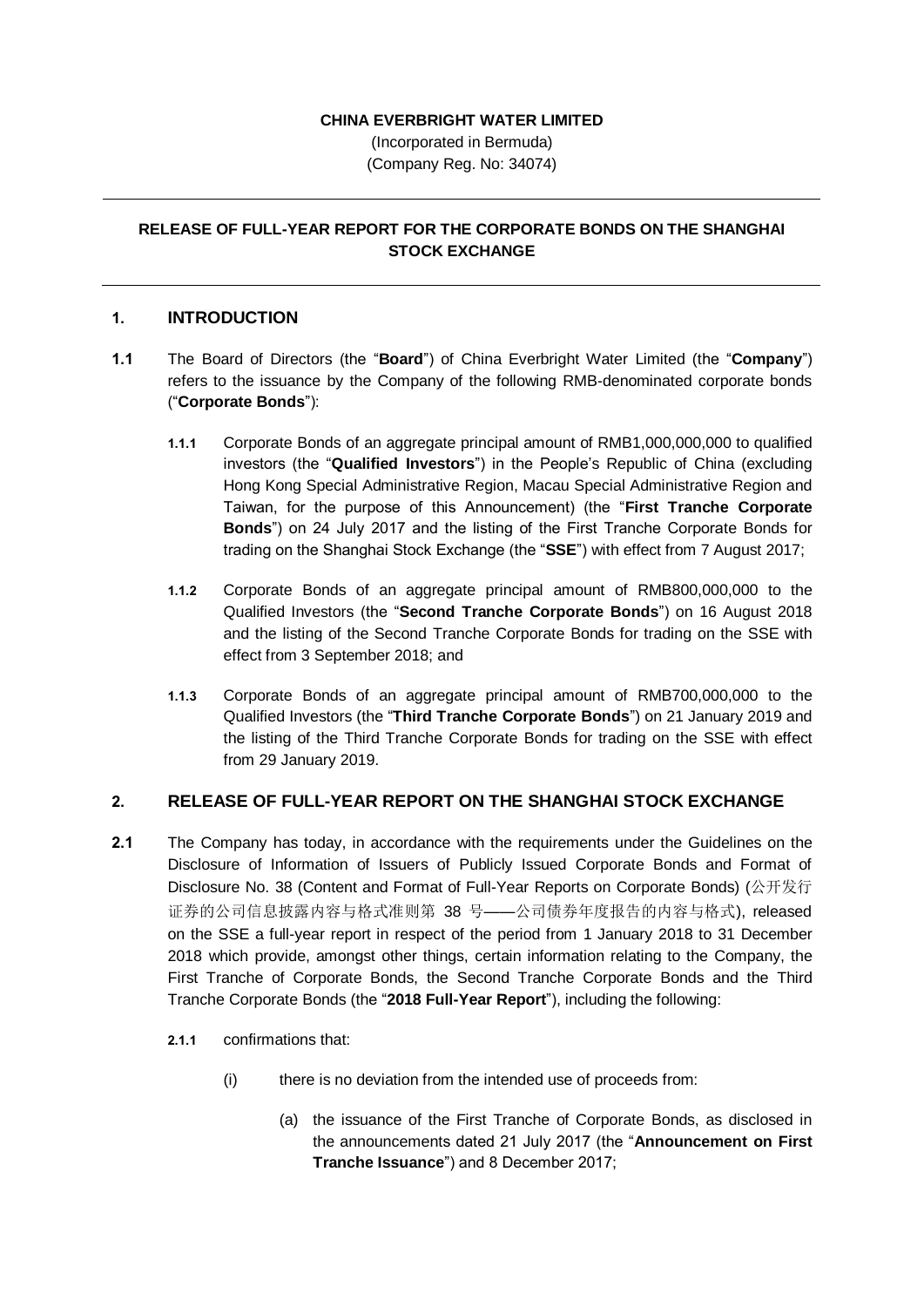## **CHINA EVERBRIGHT WATER LIMITED**

(Incorporated in Bermuda) (Company Reg. No: 34074)

## **RELEASE OF FULL-YEAR REPORT FOR THE CORPORATE BONDS ON THE SHANGHAI STOCK EXCHANGE**

## **1. INTRODUCTION**

- **1.1** The Board of Directors (the "**Board**") of China Everbright Water Limited (the "**Company**") refers to the issuance by the Company of the following RMB-denominated corporate bonds ("**Corporate Bonds**"):
	- **1.1.1** Corporate Bonds of an aggregate principal amount of RMB1,000,000,000 to qualified investors (the "**Qualified Investors**") in the People's Republic of China (excluding Hong Kong Special Administrative Region, Macau Special Administrative Region and Taiwan, for the purpose of this Announcement) (the "**First Tranche Corporate Bonds**") on 24 July 2017 and the listing of the First Tranche Corporate Bonds for trading on the Shanghai Stock Exchange (the "**SSE**") with effect from 7 August 2017;
	- **1.1.2** Corporate Bonds of an aggregate principal amount of RMB800,000,000 to the Qualified Investors (the "**Second Tranche Corporate Bonds**") on 16 August 2018 and the listing of the Second Tranche Corporate Bonds for trading on the SSE with effect from 3 September 2018; and
	- **1.1.3** Corporate Bonds of an aggregate principal amount of RMB700,000,000 to the Qualified Investors (the "**Third Tranche Corporate Bonds**") on 21 January 2019 and the listing of the Third Tranche Corporate Bonds for trading on the SSE with effect from 29 January 2019.

## **2. RELEASE OF FULL-YEAR REPORT ON THE SHANGHAI STOCK EXCHANGE**

- **2.1** The Company has today, in accordance with the requirements under the Guidelines on the Disclosure of Information of Issuers of Publicly Issued Corporate Bonds and Format of Disclosure No. 38 (Content and Format of Full-Year Reports on Corporate Bonds) (公开发行 证券的公司信息披露内容与格式准则第 38 号——公司债券年度报告的内容与格式), released on the SSE a full-year report in respect of the period from 1 January 2018 to 31 December 2018 which provide, amongst other things, certain information relating to the Company, the First Tranche of Corporate Bonds, the Second Tranche Corporate Bonds and the Third Tranche Corporate Bonds (the "**2018 Full-Year Report**"), including the following:
	- **2.1.1** confirmations that:
		- (i) there is no deviation from the intended use of proceeds from:
			- (a) the issuance of the First Tranche of Corporate Bonds, as disclosed in the announcements dated 21 July 2017 (the "**Announcement on First Tranche Issuance**") and 8 December 2017;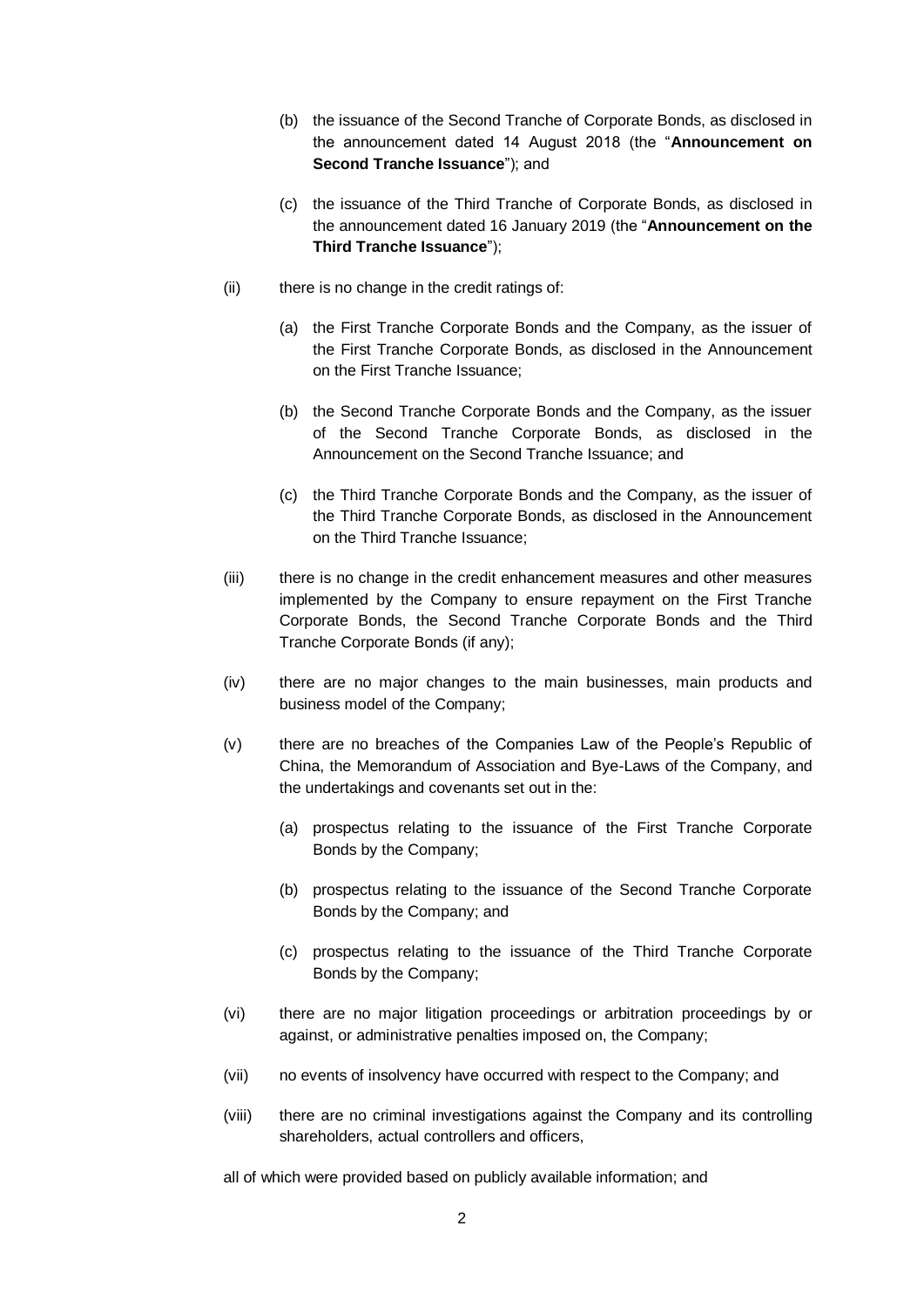- (b) the issuance of the Second Tranche of Corporate Bonds, as disclosed in the announcement dated 14 August 2018 (the "**Announcement on Second Tranche Issuance**"); and
- (c) the issuance of the Third Tranche of Corporate Bonds, as disclosed in the announcement dated 16 January 2019 (the "**Announcement on the Third Tranche Issuance**");
- (ii) there is no change in the credit ratings of:
	- (a) the First Tranche Corporate Bonds and the Company, as the issuer of the First Tranche Corporate Bonds, as disclosed in the Announcement on the First Tranche Issuance;
	- (b) the Second Tranche Corporate Bonds and the Company, as the issuer of the Second Tranche Corporate Bonds, as disclosed in the Announcement on the Second Tranche Issuance; and
	- (c) the Third Tranche Corporate Bonds and the Company, as the issuer of the Third Tranche Corporate Bonds, as disclosed in the Announcement on the Third Tranche Issuance;
- (iii) there is no change in the credit enhancement measures and other measures implemented by the Company to ensure repayment on the First Tranche Corporate Bonds, the Second Tranche Corporate Bonds and the Third Tranche Corporate Bonds (if any);
- (iv) there are no major changes to the main businesses, main products and business model of the Company;
- (v) there are no breaches of the Companies Law of the People's Republic of China, the Memorandum of Association and Bye-Laws of the Company, and the undertakings and covenants set out in the:
	- (a) prospectus relating to the issuance of the First Tranche Corporate Bonds by the Company;
	- (b) prospectus relating to the issuance of the Second Tranche Corporate Bonds by the Company; and
	- (c) prospectus relating to the issuance of the Third Tranche Corporate Bonds by the Company;
- (vi) there are no major litigation proceedings or arbitration proceedings by or against, or administrative penalties imposed on, the Company;
- (vii) no events of insolvency have occurred with respect to the Company; and
- (viii) there are no criminal investigations against the Company and its controlling shareholders, actual controllers and officers,

all of which were provided based on publicly available information; and